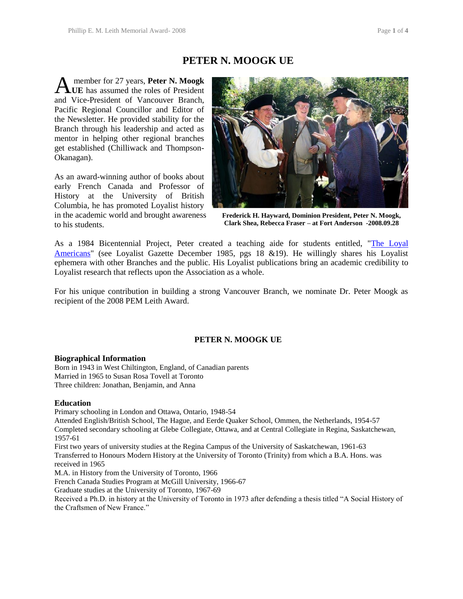# **PETER N. MOOGK UE**

member for 27 years, **Peter N. Moogk UE** has assumed the roles of President and Vice-President of Vancouver Branch, Pacific Regional Councillor and Editor of the Newsletter. He provided stability for the Branch through his leadership and acted as mentor in helping other regional branches get established (Chilliwack and Thompson-Okanagan). A

As an award-winning author of books about early French Canada and Professor of History at the University of British Columbia, he has promoted Loyalist history in the academic world and brought awareness to his students.



**Frederick H. Hayward, Dominion President, Peter N. Moogk, Clark Shea, Rebecca Fraser – at Fort Anderson -2008.09.28**

As a 1984 Bicentennial Project, Peter created a teaching aide for students entitled, ["The Loyal](http://www.uelac.org/Vancouver/PDF/American-Loyalists-Moogk.pdf)  [Americans"](http://www.uelac.org/Vancouver/PDF/American-Loyalists-Moogk.pdf) (see Loyalist Gazette December 1985, pgs 18 &19). He willingly shares his Loyalist ephemera with other Branches and the public. His Loyalist publications bring an academic credibility to Loyalist research that reflects upon the Association as a whole.

For his unique contribution in building a strong Vancouver Branch, we nominate Dr. Peter Moogk as recipient of the 2008 PEM Leith Award.

# **PETER N. MOOGK UE**

#### **Biographical Information**

Born in 1943 in West Chiltington, England, of Canadian parents Married in 1965 to Susan Rosa Tovell at Toronto Three children: Jonathan, Benjamin, and Anna

#### **Education**

Primary schooling in London and Ottawa, Ontario, 1948-54 Attended English/British School, The Hague, and Eerde Quaker School, Ommen, the Netherlands, 1954-57 Completed secondary schooling at Glebe Collegiate, Ottawa, and at Central Collegiate in Regina, Saskatchewan, 1957-61

First two years of university studies at the Regina Campus of the University of Saskatchewan, 1961-63 Transferred to Honours Modern History at the University of Toronto (Trinity) from which a B.A. Hons. was received in 1965

M.A. in History from the University of Toronto, 1966

French Canada Studies Program at McGill University, 1966-67

Graduate studies at the University of Toronto, 1967-69

Received a Ph.D. in history at the University of Toronto in 1973 after defending a thesis titled "A Social History of the Craftsmen of New France."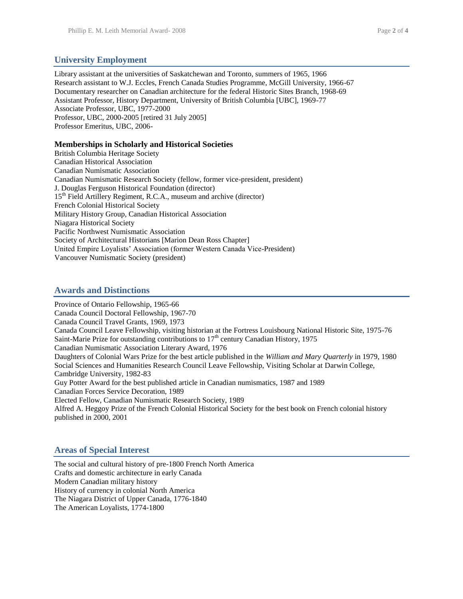# **University Employment**

Library assistant at the universities of Saskatchewan and Toronto, summers of 1965, 1966 Research assistant to W.J. Eccles, French Canada Studies Programme, McGill University, 1966-67 Documentary researcher on Canadian architecture for the federal Historic Sites Branch, 1968-69 Assistant Professor, History Department, University of British Columbia [UBC], 1969-77 Associate Professor, UBC, 1977-2000 Professor, UBC, 2000-2005 [retired 31 July 2005] Professor Emeritus, UBC, 2006-

#### **Memberships in Scholarly and Historical Societies**

British Columbia Heritage Society Canadian Historical Association Canadian Numismatic Association Canadian Numismatic Research Society (fellow, former vice-president, president) J. Douglas Ferguson Historical Foundation (director) 15<sup>th</sup> Field Artillery Regiment, R.C.A., museum and archive (director) French Colonial Historical Society Military History Group, Canadian Historical Association Niagara Historical Society Pacific Northwest Numismatic Association Society of Architectural Historians [Marion Dean Ross Chapter] United Empire Loyalists' Association (former Western Canada Vice-President) Vancouver Numismatic Society (president)

## **Awards and Distinctions**

Province of Ontario Fellowship, 1965-66 Canada Council Doctoral Fellowship, 1967-70 Canada Council Travel Grants, 1969, 1973 Canada Council Leave Fellowship, visiting historian at the Fortress Louisbourg National Historic Site, 1975-76 Saint-Marie Prize for outstanding contributions to  $17<sup>th</sup>$  century Canadian History, 1975 Canadian Numismatic Association Literary Award, 1976 Daughters of Colonial Wars Prize for the best article published in the *William and Mary Quarterly* in 1979, 1980 Social Sciences and Humanities Research Council Leave Fellowship, Visiting Scholar at Darwin College, Cambridge University, 1982-83 Guy Potter Award for the best published article in Canadian numismatics, 1987 and 1989 Canadian Forces Service Decoration, 1989 Elected Fellow, Canadian Numismatic Research Society, 1989 Alfred A. Heggoy Prize of the French Colonial Historical Society for the best book on French colonial history published in 2000, 2001

## **Areas of Special Interest**

The social and cultural history of pre-1800 French North America Crafts and domestic architecture in early Canada Modern Canadian military history History of currency in colonial North America The Niagara District of Upper Canada, 1776-1840 The American Loyalists, 1774-1800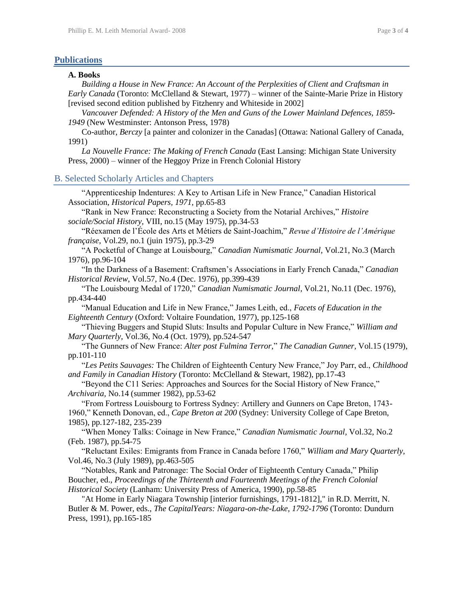## **Publications**

#### **A. Books**

*Building a House in New France: An Account of the Perplexities of Client and Craftsman in Early Canada* (Toronto: McClelland & Stewart, 1977) – winner of the Sainte-Marie Prize in History [revised second edition published by Fitzhenry and Whiteside in 2002]

*Vancouver Defended: A History of the Men and Guns of the Lower Mainland Defences, 1859- 1949* (New Westminster: Antonson Press, 1978)

Co-author, *Berczy* [a painter and colonizer in the Canadas] (Ottawa: National Gallery of Canada, 1991)

La Nouvelle France: The Making of French Canada (East Lansing: Michigan State University Press, 2000) – winner of the Heggoy Prize in French Colonial History

## B. Selected Scholarly Articles and Chapters

"Apprenticeship Indentures: A Key to Artisan Life in New France," Canadian Historical Association, *Historical Papers, 1971,* pp.65-83

"Rank in New France: Reconstructing a Society from the Notarial Archives," *Histoire sociale/Social History,* VIII, no.15 (May 1975), pp.34-53

"Réexamen de l'École des Arts et Métiers de Saint-Joachim," *Revue d'Histoire de l'Amérique française,* Vol.29, no.1 (juin 1975), pp.3-29

"A Pocketful of Change at Louisbourg," *Canadian Numismatic Journal,* Vol.21, No.3 (March 1976), pp.96-104

"In the Darkness of a Basement: Craftsmen's Associations in Early French Canada," *Canadian Historical Review,* Vol.57, No.4 (Dec. 1976), pp.399-439

"The Louisbourg Medal of 1720," *Canadian Numismatic Journal,* Vol.21, No.11 (Dec. 1976), pp.434-440

"Manual Education and Life in New France," James Leith, ed., *Facets of Education in the Eighteenth Century* (Oxford: Voltaire Foundation, 1977), pp.125-168

"Thieving Buggers and Stupid Sluts: Insults and Popular Culture in New France," *William and Mary Quarterly,* Vol.36, No.4 (Oct. 1979), pp.524-547

"The Gunners of New France: *Alter post Fulmina Terror,*" *The Canadian Gunner,* Vol.15 (1979), pp.101-110

"*Les Petits Sauvages:* The Children of Eighteenth Century New France," Joy Parr, ed., *Childhood and Family in Canadian History* (Toronto: McClelland & Stewart, 1982), pp.17-43

"Beyond the C11 Series: Approaches and Sources for the Social History of New France," *Archivaria,* No.14 (summer 1982), pp.53-62

"From Fortress Louisbourg to Fortress Sydney: Artillery and Gunners on Cape Breton, 1743- 1960," Kenneth Donovan, ed., *Cape Breton at 200* (Sydney: University College of Cape Breton, 1985), pp.127-182, 235-239

"When Money Talks: Coinage in New France," *Canadian Numismatic Journal,* Vol.32, No.2 (Feb. 1987), pp.54-75

"Reluctant Exiles: Emigrants from France in Canada before 1760," *William and Mary Quarterly,*  Vol.46, No.3 (July 1989), pp.463-505

"Notables, Rank and Patronage: The Social Order of Eighteenth Century Canada," Philip Boucher, ed., *Proceedings of the Thirteenth and Fourteenth Meetings of the French Colonial Historical Society* (Lanham: University Press of America, 1990), pp.58-85

"At Home in Early Niagara Township [interior furnishings, 1791-1812]," in R.D. Merritt, N. Butler & M. Power, eds., *The CapitalYears: Niagara-on-the-Lake, 1792-1796* (Toronto: Dundurn Press, 1991), pp.165-185